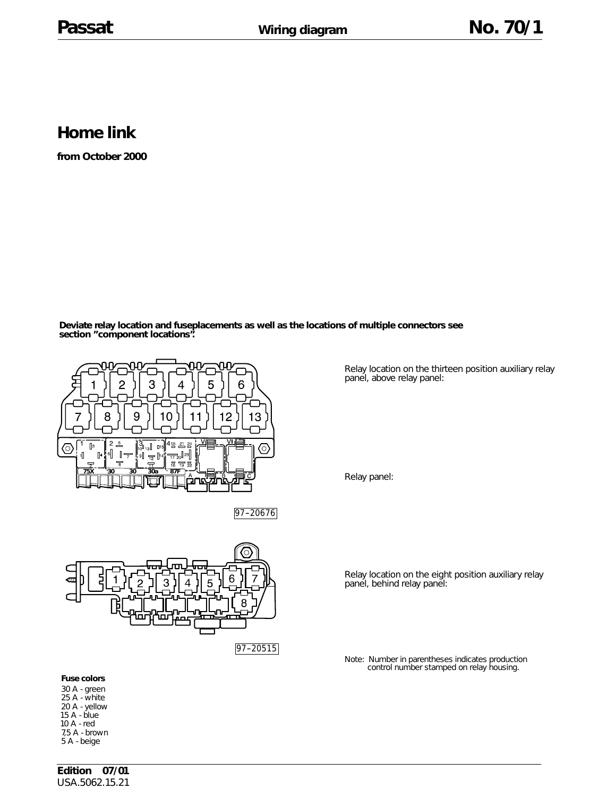## **Home link**

**from October 2000**

**Deviate relay location and fuseplacements as well as the locations of multiple connectors see section "component locations".**





**Fuse colors**

30 A - green 25 A - white 20 A - yellow 15 A - blue 10 A - red 7,5 A - brown 5 A - beige

Relay location on the thirteen position auxiliary relay panel, above relay panel:

Relay panel:

Relay location on the eight position auxiliary relay panel, behind relay panel:

Note: Number in parentheses indicates production control number stamped on relay housing.